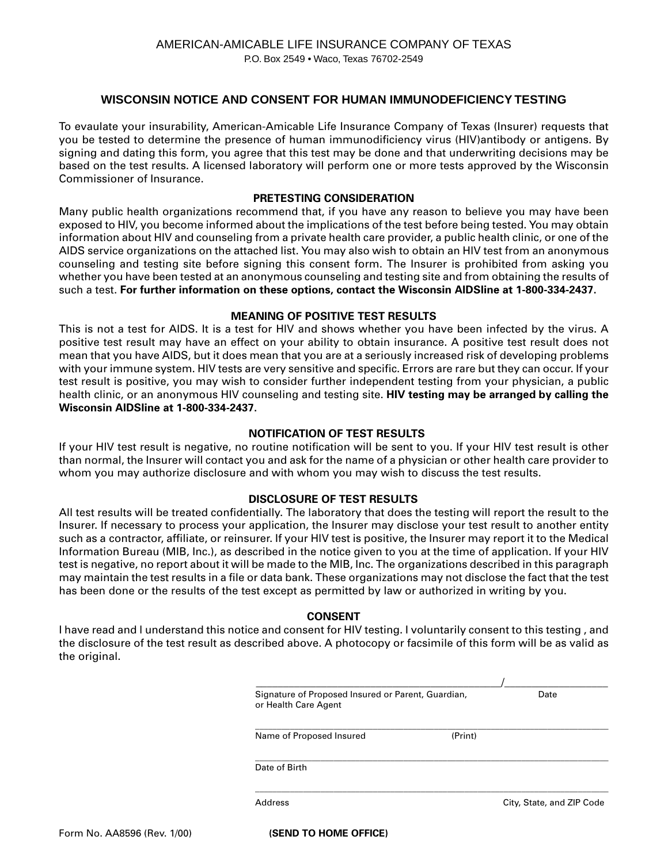# **WISCONSIN NOTICE AND CONSENT FOR HUMAN IMMUNODEFICIENCY TESTING**

To evaulate your insurability, American-Amicable Life Insurance Company of Texas (Insurer) requests that you be tested to determine the presence of human immunodificiency virus (HIV)antibody or antigens. By signing and dating this form, you agree that this test may be done and that underwriting decisions may be based on the test results. A licensed laboratory will perform one or more tests approved by the Wisconsin Commissioner of Insurance.

# **PRETESTlNG CONSIDERATION**

Many public health organizations recommend that, if you have any reason to believe you may have been exposed to HIV, you become informed about the implications of the test before being tested. You may obtain information about HIV and counseling from a private health care provider, a public health clinic, or one of the AIDS service organizations on the attached list. You may also wish to obtain an HlV test from an anonymous counseling and testing site before signing this consent form. The Insurer is prohibited from asking you whether you have been tested at an anonymous counseling and testing site and from obtaining the results of such a test. **For further information on these options, contact the Wisconsin AlDSline at 1-800-334-2437.**

## **MEANING OF POSITIVE TEST RESULTS**

This is not a test for AIDS. It is a test for HlV and shows whether you have been infected by the virus. A positive test result may have an effect on your ability to obtain insurance. A positive test result does not mean that you have AIDS, but it does mean that you are at a seriously increased risk of developing problems with your immune system. HlV tests are very sensitive and specific. Errors are rare but they can occur. If your test result is positive, you may wish to consider further independent testing from your physician, a public health clinic, or an anonymous HIV counseling and testing site. **HIV testing may be arranged by calling the Wisconsin AlDSline at 1-800-334-2437.**

# **NOTIFICATION OF TEST RESULTS**

If your HlV test result is negative, no routine notification will be sent to you. If your HIV test result is other than normal, the Insurer will contact you and ask for the name of a physician or other health care provider to whom you may authorize disclosure and with whom you may wish to discuss the test results.

# **DISCLOSURE OF TEST RESULTS**

All test results will be treated confidentially. The laboratory that does the testing will report the result to the Insurer. If necessary to process your application, the Insurer may disclose your test result to another entity such as a contractor, affiliate, or reinsurer. If your HlV test is positive, the Insurer may report it to the Medical Information Bureau (MIB, Inc.), as described in the notice given to you at the time of application. If your HIV test is negative, no report about it will be made to the MlB, Inc. The organizations described in this paragraph may maintain the test results in a file or data bank. These organizations may not disclose the fact that the test has been done or the results of the test except as permitted by law or authorized in writing by you.

## **CONSENT**

I have read and l understand this notice and consent for HIV testing. I voluntarily consent to this testing , and the disclosure of the test result as described above. A photocopy or facsimile of this form will be as valid as the original.

| Signature of Proposed Insured or Parent, Guardian,<br>or Health Care Agent |         | Date                      |
|----------------------------------------------------------------------------|---------|---------------------------|
| Name of Proposed Insured                                                   | (Print) |                           |
| Date of Birth                                                              |         |                           |
| Address                                                                    |         | City, State, and ZIP Code |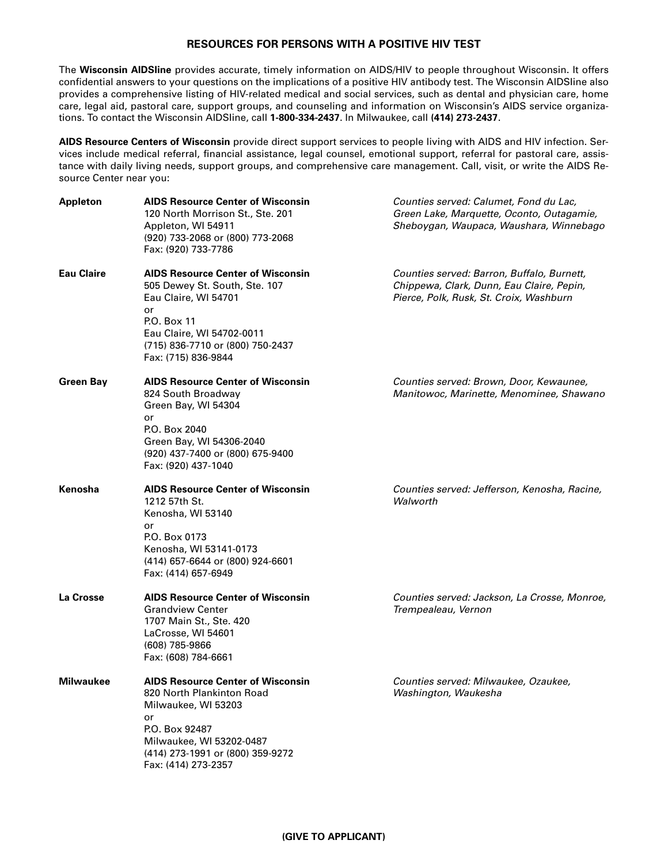## **RESOURCES FOR PERSONS WITH A POSITIVE HIV TEST**

The **Wisconsin AlDSline** provides accurate, timely information on AIDS/HIV to people throughout Wisconsin. It offers confidential answers to your questions on the implications of a positive HlV antibody test. The Wisconsin AlDSIine also provides a comprehensive listing of HlV-related medical and social services, such as dental and physician care, home care, legal aid, pastoral care, support groups, and counseling and information on Wisconsin's AIDS service organizations. To contact the Wisconsin AlDSIine, call **1-800-334-2437**. In Milwaukee, call **(414) 273-2437**.

**AIDS Resource Centers of Wisconsin** provide direct support services to people living with AIDS and HlV infection. Services include medical referral, financial assistance, legal counsel, emotional support, referral for pastoral care, assistance with daily living needs, support groups, and comprehensive care management. Call, visit, or write the AIDS Resource Center near you:

| <b>Appleton</b>   | <b>AIDS Resource Center of Wisconsin</b><br>120 North Morrison St., Ste. 201<br>Appleton, WI 54911<br>(920) 733-2068 or (800) 773-2068<br>Fax: (920) 733-7786                                                  | Counties served: Calumet, Fond du Lac,<br>Green Lake, Marquette, Oconto, Outagamie,<br>Sheboygan, Waupaca, Waushara, Winnebago     |
|-------------------|----------------------------------------------------------------------------------------------------------------------------------------------------------------------------------------------------------------|------------------------------------------------------------------------------------------------------------------------------------|
| <b>Eau Claire</b> | <b>AIDS Resource Center of Wisconsin</b><br>505 Dewey St. South, Ste. 107<br>Eau Claire, WI 54701<br>or<br>P.O. Box 11<br>Eau Claire, WI 54702-0011<br>(715) 836-7710 or (800) 750-2437<br>Fax: (715) 836-9844 | Counties served: Barron, Buffalo, Burnett,<br>Chippewa, Clark, Dunn, Eau Claire, Pepin,<br>Pierce, Polk, Rusk, St. Croix, Washburn |
| <b>Green Bay</b>  | <b>AIDS Resource Center of Wisconsin</b><br>824 South Broadway<br>Green Bay, WI 54304<br>or<br>P.O. Box 2040<br>Green Bay, WI 54306-2040<br>(920) 437-7400 or (800) 675-9400<br>Fax: (920) 437-1040            | Counties served: Brown, Door, Kewaunee,<br>Manitowoc, Marinette, Menominee, Shawano                                                |
| Kenosha           | <b>AIDS Resource Center of Wisconsin</b><br>1212 57th St.<br>Kenosha, WI 53140<br>or<br>P.O. Box 0173<br>Kenosha, WI 53141-0173<br>(414) 657-6644 or (800) 924-6601<br>Fax: (414) 657-6949                     | Counties served: Jefferson, Kenosha, Racine,<br>Walworth                                                                           |
| <b>La Crosse</b>  | <b>AIDS Resource Center of Wisconsin</b><br><b>Grandview Center</b><br>1707 Main St., Ste. 420<br>LaCrosse, WI 54601<br>(608) 785-9866<br>Fax: (608) 784-6661                                                  | Counties served: Jackson, La Crosse, Monroe,<br>Trempealeau, Vernon                                                                |
| <b>Milwaukee</b>  | <b>AIDS Resource Center of Wisconsin</b><br>820 North Plankinton Road<br>Milwaukee, WI 53203<br>or<br>P.O. Box 92487<br>Milwaukee, WI 53202-0487<br>(414) 273-1991 or (800) 359-9272<br>Fax: (414) 273-2357    | Counties served: Milwaukee, Ozaukee,<br>Washington, Waukesha                                                                       |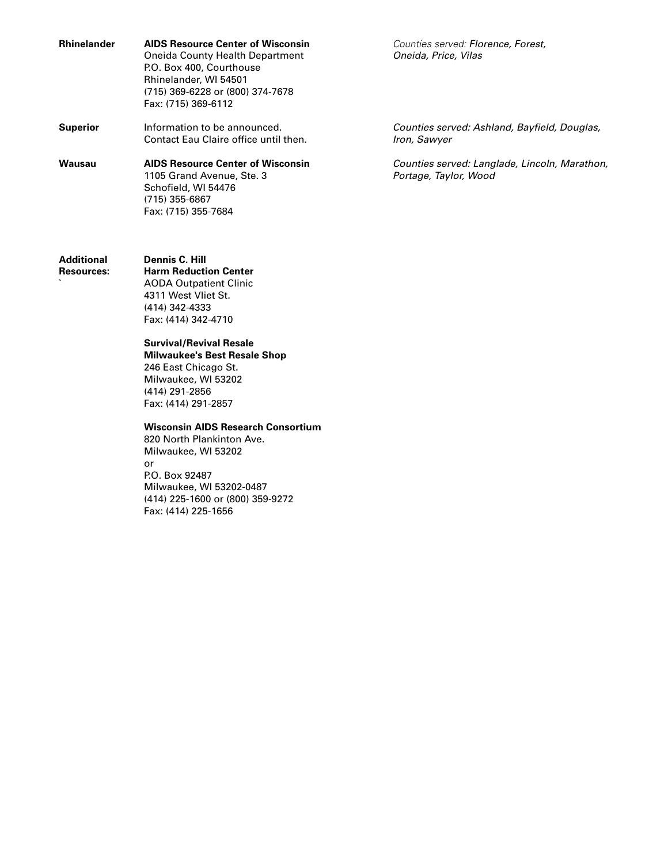| <b>Rhinelander</b> | <b>AIDS Resource Center of Wisconsin</b><br>Oneida County Health Department<br>P.O. Box 400, Courthouse<br>Rhinelander, WI 54501<br>(715) 369-6228 or (800) 374-7678<br>Fax: (715) 369-6112 | Counties served: Florence, Forest,<br>Oneida, Price, Vilas             |
|--------------------|---------------------------------------------------------------------------------------------------------------------------------------------------------------------------------------------|------------------------------------------------------------------------|
| <b>Superior</b>    | Information to be announced.<br>Contact Eau Claire office until then.                                                                                                                       | Counties served: Ashland, Bayfield, Douglas,<br>Iron, Sawyer           |
| Wausau             | <b>AIDS Resource Center of Wisconsin</b><br>1105 Grand Avenue, Ste. 3<br>Schofield, WI 54476<br>(715) 355-6867<br>Fax: (715) 355-7684                                                       | Counties served: Langlade, Lincoln, Marathon,<br>Portage, Taylor, Wood |

# **Additional Dennis C. Hill<br>Resources: Harm Reduction**

**Harm Reduction Center `** AODA Outpatient Clinic 4311 West Vliet St. (414) 342-4333 Fax: (414) 342-4710

# **Survival/Revival Resale**

**Milwaukee's Best Resale Shop** 246 East Chicago St. Milwaukee, WI 53202 (414) 291-2856 Fax: (414) 291-2857

## **Wisconsin AIDS Research Consortium**

820 North Plankinton Ave. Milwaukee, WI 53202 or P.O. Box 92487 Milwaukee, WI 53202-0487 (414) 225-1600 or (800) 359-9272 Fax: (414) 225-1656